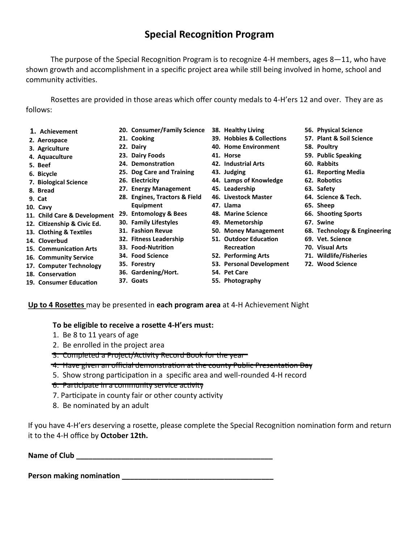## **Special Recognition Program**

The purpose of the Special Recognition Program is to recognize 4-H members, ages 8—11, who have shown growth and accomplishment in a specific project area while still being involved in home, school and community activities.

Rosettes are provided in those areas which offer county medals to 4-H'ers 12 and over. They are as follows:

- **1. Achievement**
- **2. Aerospace**
- **3. Agriculture**
- **4. Aquaculture**
- **5. Beef**
- **6. Bicycle**
- **7. Biological Science**
- **8. Bread**
- **9. Cat**
- **10. Cavy**
- **11. Child Care & Development 29. Entomology & Bees**
- **12. Citizenship & Civic Ed.**
- **13. Clothing & Textiles**
- **14. Cloverbud**
- **15. Communication Arts**
- **16. Community Service 17. Computer Technology**
- **18. Conservation**
- **19. Consumer Education**
- **20. Consumer/Family Science 38. Healthy Living**
- **21. Cooking**
- **22. Dairy**
- **23. Dairy Foods**
- **24. Demonstration**
- **25. Dog Care and Training**
- **26. Electricity**
- **27. Energy Management**
- **28. Engines, Tractors & Field Equipment**
- 
- **30. Family Lifestyles**
- **31. Fashion Revue**
- **32. Fitness Leadership**
- **33. Food-Nutrition 34. Food Science**
- **35. Forestry**
- **36. Gardening/Hort.**
- **37. Goats**
- 
- **39. Hobbies & Collections**
- **40. Home Environment**
- **41. Horse**
- **42. Industrial Arts**
- **43. Judging**
- **44. Lamps of Knowledge**
- **45. Leadership**
- **46. Livestock Master**
- **47. Llama**
- 
- **48. Marine Science**
- **49. Memetorship**
- **50. Money Management 51. Outdoor Education**
- **Recreation**
- **52. Performing Arts**
- **53. Personal Development**
- **54. Pet Care**
- **55. Photography**
- **56. Physical Science**
- **57. Plant & Soil Science**
- **58. Poultry**
- **59. Public Speaking**
- **60. Rabbits**
- **61. Reporting Media**
- **62. Robotics**
- **63. Safety**
- **64. Science & Tech.**
- **65. Sheep**
- **66. Shooting Sports**
- **67. Swine**
- **68. Technology & Engineering**
- **69. Vet. Science**
- **70. Visual Arts**
- **71. Wildlife/Fisheries**
- **72. Wood Science**
- **Up to 4 Rosettes** may be presented in **each program area** at 4-H Achievement Night

**To be eligible to receive a rosette 4-H'ers must:**

- 1. Be 8 to 11 years of age
- 2. Be enrolled in the project area
- 3. Completed a Project/Activity Record Book for the year
- 4. Have given an official demonstration at the county Public Presentation Day
- 5. Show strong participation in a specific area and well-rounded 4-H record
- 6. Participate in a community service activity
- 7. Participate in county fair or other county activity
- 8. Be nominated by an adult

If you have 4-H'ers deserving a rosette, please complete the Special Recognition nomination form and return it to the 4-H office by **October 12th.** 

**Name of Club \_\_\_\_\_\_\_\_\_\_\_\_\_\_\_\_\_\_\_\_\_\_\_\_\_\_\_\_\_\_\_\_\_\_\_\_\_\_\_\_\_\_\_\_\_\_\_\_**

**Person making nomination Department**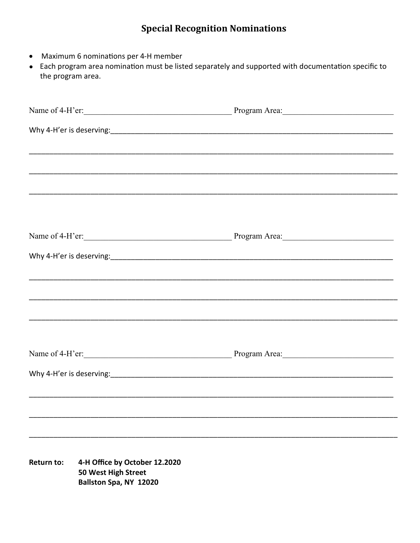## **Special Recognition Nominations**

- Maximum 6 nominations per 4-H member
- Each program area nomination must be listed separately and supported with documentation specific to the program area.

| Name of 4-H'er: Program Area:               |                                                                                |  |
|---------------------------------------------|--------------------------------------------------------------------------------|--|
|                                             |                                                                                |  |
|                                             |                                                                                |  |
|                                             |                                                                                |  |
|                                             |                                                                                |  |
|                                             |                                                                                |  |
|                                             |                                                                                |  |
| Name of 4-H'er: Program Area: Program Area: |                                                                                |  |
|                                             |                                                                                |  |
|                                             |                                                                                |  |
|                                             |                                                                                |  |
|                                             |                                                                                |  |
|                                             |                                                                                |  |
| Name of 4-H'er: Program Area:               |                                                                                |  |
|                                             |                                                                                |  |
|                                             |                                                                                |  |
|                                             |                                                                                |  |
|                                             |                                                                                |  |
|                                             |                                                                                |  |
| <b>Return to:</b>                           | 4-H Office by October 12.2020<br>50 West High Street<br>Ballston Spa, NY 12020 |  |